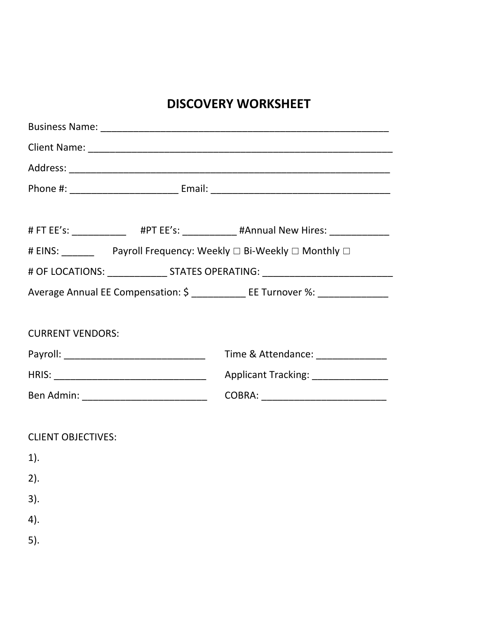# **DISCOVERY WORKSHEET**

|                                                                                  | # FT EE's: ______________ #PT EE's: ___________ #Annual New Hires: _____________ |  |
|----------------------------------------------------------------------------------|----------------------------------------------------------------------------------|--|
|                                                                                  | # EINS: __________ Payroll Frequency: Weekly □ Bi-Weekly □ Monthly □             |  |
| # OF LOCATIONS: _______________________ STATES OPERATING: ______________________ |                                                                                  |  |
|                                                                                  | Average Annual EE Compensation: \$ ___________ EE Turnover %: _____________      |  |
|                                                                                  |                                                                                  |  |
| <b>CURRENT VENDORS:</b>                                                          |                                                                                  |  |
|                                                                                  | Time & Attendance: ______________                                                |  |
|                                                                                  | Applicant Tracking: ________________                                             |  |
|                                                                                  | COBRA: ____________________________                                              |  |
|                                                                                  |                                                                                  |  |
| <b>CLIENT OBJECTIVES:</b>                                                        |                                                                                  |  |
| $1$ ).                                                                           |                                                                                  |  |
| 2).                                                                              |                                                                                  |  |
| 3).                                                                              |                                                                                  |  |
| 4).                                                                              |                                                                                  |  |
| 5).                                                                              |                                                                                  |  |
|                                                                                  |                                                                                  |  |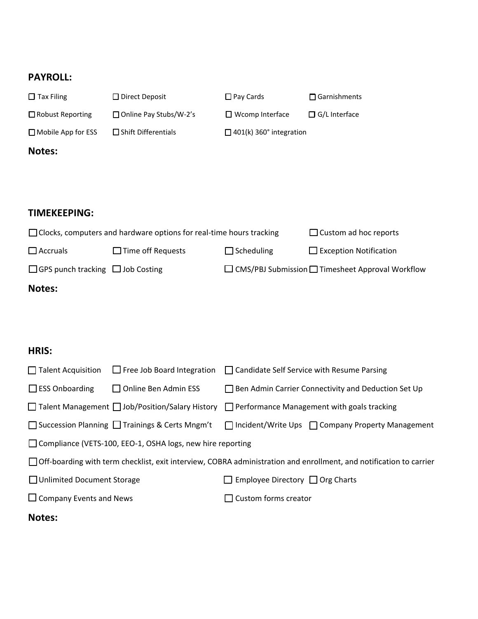## **PAYROLL:**

| $\Box$ Tax Filing         | □ Direct Deposit                                                           | $\Box$ Pay Cards                         | $\Box$ Garnishments     |
|---------------------------|----------------------------------------------------------------------------|------------------------------------------|-------------------------|
| $\Box$ Robust Reporting   | $\Box$ Online Pay Stubs/W-2's                                              | $\Box$ Wcomp Interface                   | $\Box$ G/L Interface    |
| $\Box$ Mobile App for ESS | $\Box$ Shift Differentials                                                 | $\Box$ 401(k) 360 $^{\circ}$ integration |                         |
| <b>Notes:</b>             |                                                                            |                                          |                         |
|                           |                                                                            |                                          |                         |
|                           |                                                                            |                                          |                         |
| <b>TIMEKEEPING:</b>       |                                                                            |                                          |                         |
|                           | $\Box$ Clocks, computers and hardware options for real-time hours tracking |                                          | $\Box$ Custom ad hoc re |
|                           |                                                                            |                                          |                         |

|                                              | $\Box$ Clocks, computers and hardware options for real-time hours tracking |                   | $\Box$ Custom ad hoc reports                                 |
|----------------------------------------------|----------------------------------------------------------------------------|-------------------|--------------------------------------------------------------|
| $\square$ Accruals                           | $\Box$ Time off Requests                                                   | $\Box$ Scheduling | $\Box$ Exception Notification                                |
| $\Box$ GPS punch tracking $\Box$ Job Costing |                                                                            |                   | $\Box$ CMS/PBJ Submission $\Box$ Timesheet Approval Workflow |
|                                              |                                                                            |                   |                                                              |

#### **Notes:**

### **HRIS:**

| $\Box$ Talent Acquisition      | $\Box$ Free Job Board Integration                            | □ Candidate Self Service with Resume Parsing                                                                         |
|--------------------------------|--------------------------------------------------------------|----------------------------------------------------------------------------------------------------------------------|
| $\Box$ ESS Onboarding          | $\Box$ Online Ben Admin ESS                                  | $\Box$ Ben Admin Carrier Connectivity and Deduction Set Up                                                           |
|                                |                                                              | $\Box$ Talent Management $\Box$ Job/Position/Salary History $\Box$ Performance Management with goals tracking        |
|                                | $\Box$ Succession Planning $\Box$ Trainings & Certs Mngm't   | $\Box$ Incident/Write Ups $\Box$ Company Property Management                                                         |
|                                | □ Compliance (VETS-100, EEO-1, OSHA logs, new hire reporting |                                                                                                                      |
|                                |                                                              | □ Off-boarding with term checklist, exit interview, COBRA administration and enrollment, and notification to carrier |
| □ Unlimited Document Storage   |                                                              | $\Box$ Employee Directory $\Box$ Org Charts                                                                          |
| $\Box$ Company Events and News |                                                              | $\Box$ Custom forms creator                                                                                          |
|                                |                                                              |                                                                                                                      |

# **Notes:**